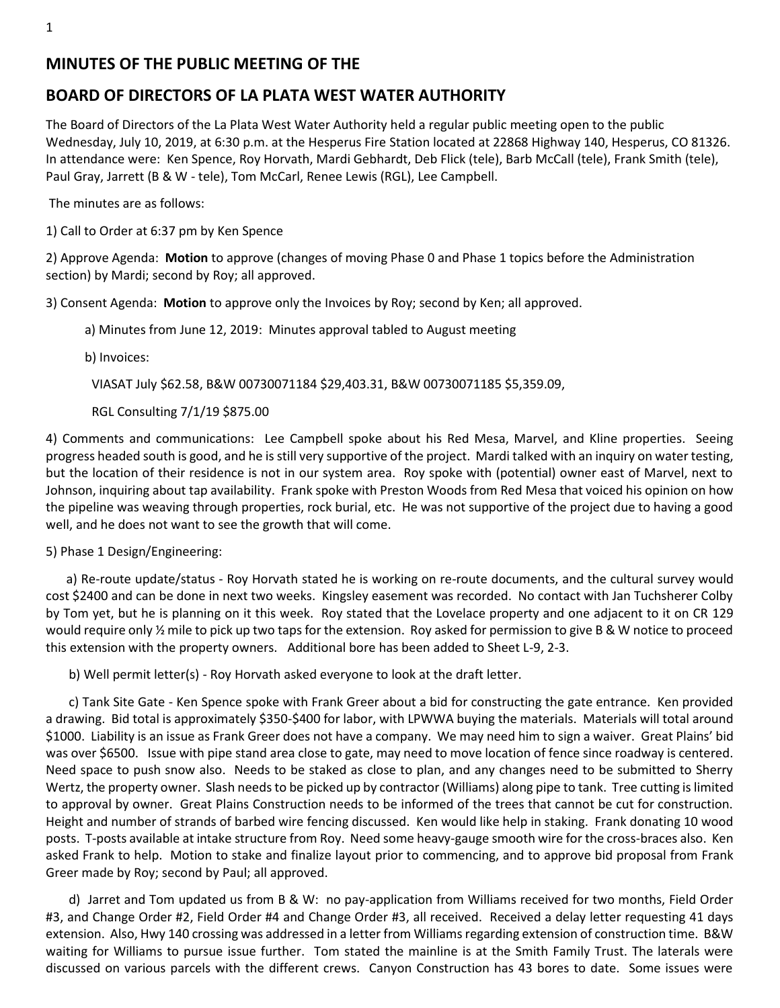# **MINUTES OF THE PUBLIC MEETING OF THE**

# **BOARD OF DIRECTORS OF LA PLATA WEST WATER AUTHORITY**

The Board of Directors of the La Plata West Water Authority held a regular public meeting open to the public Wednesday, July 10, 2019, at 6:30 p.m. at the Hesperus Fire Station located at 22868 Highway 140, Hesperus, CO 81326. In attendance were: Ken Spence, Roy Horvath, Mardi Gebhardt, Deb Flick (tele), Barb McCall (tele), Frank Smith (tele), Paul Gray, Jarrett (B & W - tele), Tom McCarl, Renee Lewis (RGL), Lee Campbell.

The minutes are as follows:

1) Call to Order at 6:37 pm by Ken Spence

2) Approve Agenda: **Motion** to approve (changes of moving Phase 0 and Phase 1 topics before the Administration section) by Mardi; second by Roy; all approved.

3) Consent Agenda: **Motion** to approve only the Invoices by Roy; second by Ken; all approved.

a) Minutes from June 12, 2019: Minutes approval tabled to August meeting

b) Invoices:

VIASAT July \$62.58, B&W 00730071184 \$29,403.31, B&W 00730071185 \$5,359.09,

### RGL Consulting 7/1/19 \$875.00

4) Comments and communications: Lee Campbell spoke about his Red Mesa, Marvel, and Kline properties. Seeing progress headed south is good, and he is still very supportive of the project. Mardi talked with an inquiry on water testing, but the location of their residence is not in our system area. Roy spoke with (potential) owner east of Marvel, next to Johnson, inquiring about tap availability. Frank spoke with Preston Woods from Red Mesa that voiced his opinion on how the pipeline was weaving through properties, rock burial, etc. He was not supportive of the project due to having a good well, and he does not want to see the growth that will come.

5) Phase 1 Design/Engineering:

a) Re-route update/status - Roy Horvath stated he is working on re-route documents, and the cultural survey would cost \$2400 and can be done in next two weeks. Kingsley easement was recorded. No contact with Jan Tuchsherer Colby by Tom yet, but he is planning on it this week. Roy stated that the Lovelace property and one adjacent to it on CR 129 would require only  $\frac{1}{2}$  mile to pick up two taps for the extension. Roy asked for permission to give B & W notice to proceed this extension with the property owners. Additional bore has been added to Sheet L-9, 2-3.

b) Well permit letter(s) - Roy Horvath asked everyone to look at the draft letter.

c) Tank Site Gate - Ken Spence spoke with Frank Greer about a bid for constructing the gate entrance. Ken provided a drawing. Bid total is approximately \$350-\$400 for labor, with LPWWA buying the materials. Materials will total around \$1000. Liability is an issue as Frank Greer does not have a company. We may need him to sign a waiver. Great Plains' bid was over \$6500. Issue with pipe stand area close to gate, may need to move location of fence since roadway is centered. Need space to push snow also. Needs to be staked as close to plan, and any changes need to be submitted to Sherry Wertz, the property owner. Slash needs to be picked up by contractor (Williams) along pipe to tank. Tree cutting is limited to approval by owner. Great Plains Construction needs to be informed of the trees that cannot be cut for construction. Height and number of strands of barbed wire fencing discussed. Ken would like help in staking. Frank donating 10 wood posts. T-posts available at intake structure from Roy. Need some heavy-gauge smooth wire for the cross-braces also. Ken asked Frank to help. Motion to stake and finalize layout prior to commencing, and to approve bid proposal from Frank Greer made by Roy; second by Paul; all approved.

d) Jarret and Tom updated us from B & W: no pay-application from Williams received for two months, Field Order #3, and Change Order #2, Field Order #4 and Change Order #3, all received. Received a delay letter requesting 41 days extension. Also, Hwy 140 crossing was addressed in a letter from Williams regarding extension of construction time. B&W waiting for Williams to pursue issue further. Tom stated the mainline is at the Smith Family Trust. The laterals were discussed on various parcels with the different crews. Canyon Construction has 43 bores to date. Some issues were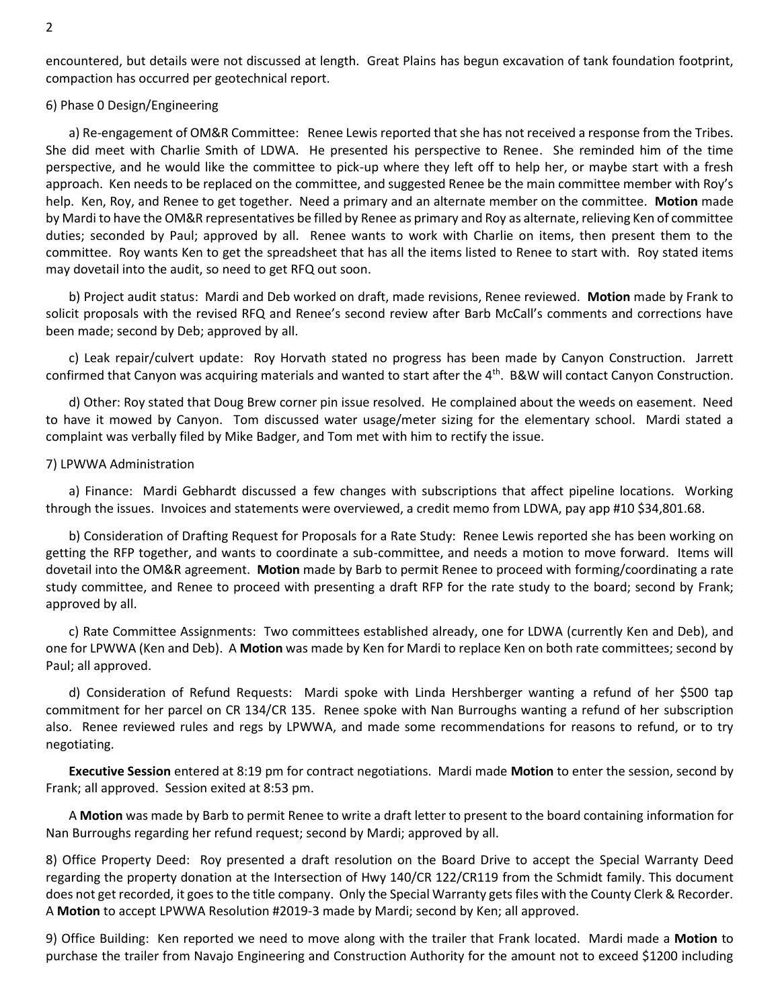encountered, but details were not discussed at length. Great Plains has begun excavation of tank foundation footprint, compaction has occurred per geotechnical report.

### 6) Phase 0 Design/Engineering

a) Re-engagement of OM&R Committee: Renee Lewis reported that she has not received a response from the Tribes. She did meet with Charlie Smith of LDWA. He presented his perspective to Renee. She reminded him of the time perspective, and he would like the committee to pick-up where they left off to help her, or maybe start with a fresh approach. Ken needs to be replaced on the committee, and suggested Renee be the main committee member with Roy's help. Ken, Roy, and Renee to get together. Need a primary and an alternate member on the committee. **Motion** made by Mardi to have the OM&R representatives be filled by Renee as primary and Roy as alternate, relieving Ken of committee duties; seconded by Paul; approved by all. Renee wants to work with Charlie on items, then present them to the committee. Roy wants Ken to get the spreadsheet that has all the items listed to Renee to start with. Roy stated items may dovetail into the audit, so need to get RFQ out soon.

b) Project audit status: Mardi and Deb worked on draft, made revisions, Renee reviewed. **Motion** made by Frank to solicit proposals with the revised RFQ and Renee's second review after Barb McCall's comments and corrections have been made; second by Deb; approved by all.

c) Leak repair/culvert update: Roy Horvath stated no progress has been made by Canyon Construction. Jarrett confirmed that Canyon was acquiring materials and wanted to start after the  $4<sup>th</sup>$ . B&W will contact Canyon Construction.

d) Other: Roy stated that Doug Brew corner pin issue resolved. He complained about the weeds on easement. Need to have it mowed by Canyon. Tom discussed water usage/meter sizing for the elementary school. Mardi stated a complaint was verbally filed by Mike Badger, and Tom met with him to rectify the issue.

### 7) LPWWA Administration

a) Finance: Mardi Gebhardt discussed a few changes with subscriptions that affect pipeline locations. Working through the issues. Invoices and statements were overviewed, a credit memo from LDWA, pay app #10 \$34,801.68.

b) Consideration of Drafting Request for Proposals for a Rate Study: Renee Lewis reported she has been working on getting the RFP together, and wants to coordinate a sub-committee, and needs a motion to move forward. Items will dovetail into the OM&R agreement. **Motion** made by Barb to permit Renee to proceed with forming/coordinating a rate study committee, and Renee to proceed with presenting a draft RFP for the rate study to the board; second by Frank; approved by all.

c) Rate Committee Assignments: Two committees established already, one for LDWA (currently Ken and Deb), and one for LPWWA (Ken and Deb). A **Motion** was made by Ken for Mardi to replace Ken on both rate committees; second by Paul; all approved.

d) Consideration of Refund Requests: Mardi spoke with Linda Hershberger wanting a refund of her \$500 tap commitment for her parcel on CR 134/CR 135. Renee spoke with Nan Burroughs wanting a refund of her subscription also. Renee reviewed rules and regs by LPWWA, and made some recommendations for reasons to refund, or to try negotiating.

**Executive Session** entered at 8:19 pm for contract negotiations. Mardi made **Motion** to enter the session, second by Frank; all approved. Session exited at 8:53 pm.

A **Motion** was made by Barb to permit Renee to write a draft letter to present to the board containing information for Nan Burroughs regarding her refund request; second by Mardi; approved by all.

8) Office Property Deed: Roy presented a draft resolution on the Board Drive to accept the Special Warranty Deed regarding the property donation at the Intersection of Hwy 140/CR 122/CR119 from the Schmidt family. This document does not get recorded, it goes to the title company. Only the Special Warranty gets files with the County Clerk & Recorder. A **Motion** to accept LPWWA Resolution #2019-3 made by Mardi; second by Ken; all approved.

9) Office Building: Ken reported we need to move along with the trailer that Frank located. Mardi made a **Motion** to purchase the trailer from Navajo Engineering and Construction Authority for the amount not to exceed \$1200 including